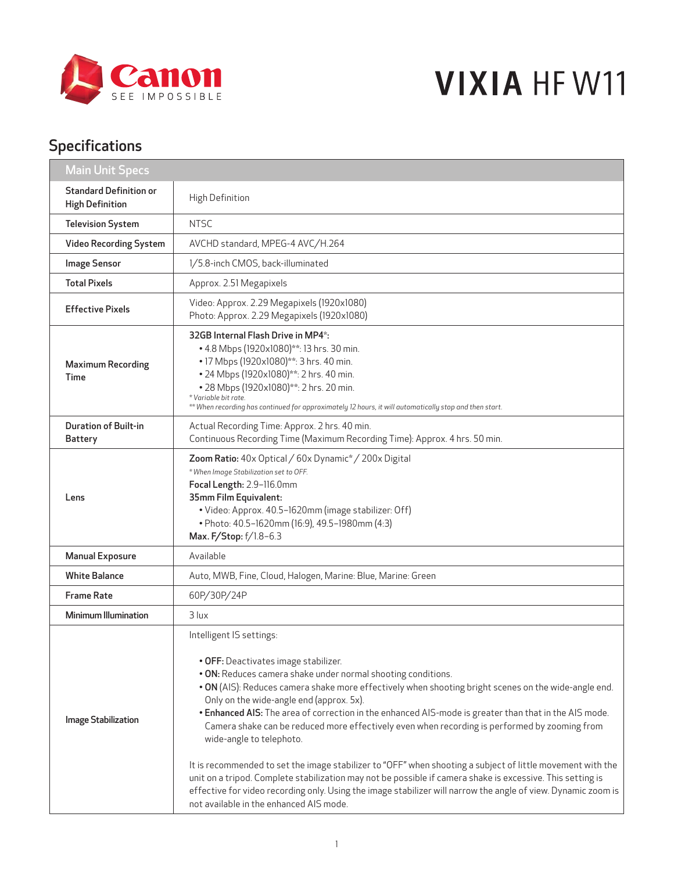

## **VIXIA HF W11**

## Specifications

| <b>Main Unit Specs</b>                                  |                                                                                                                                                                                                                                                                                                                                                                                                                                                                                                                                                                                                                                                                                                                                                                                                                                                                                                                    |
|---------------------------------------------------------|--------------------------------------------------------------------------------------------------------------------------------------------------------------------------------------------------------------------------------------------------------------------------------------------------------------------------------------------------------------------------------------------------------------------------------------------------------------------------------------------------------------------------------------------------------------------------------------------------------------------------------------------------------------------------------------------------------------------------------------------------------------------------------------------------------------------------------------------------------------------------------------------------------------------|
| <b>Standard Definition or</b><br><b>High Definition</b> | High Definition                                                                                                                                                                                                                                                                                                                                                                                                                                                                                                                                                                                                                                                                                                                                                                                                                                                                                                    |
| <b>Television System</b>                                | <b>NTSC</b>                                                                                                                                                                                                                                                                                                                                                                                                                                                                                                                                                                                                                                                                                                                                                                                                                                                                                                        |
| Video Recording System                                  | AVCHD standard, MPEG-4 AVC/H.264                                                                                                                                                                                                                                                                                                                                                                                                                                                                                                                                                                                                                                                                                                                                                                                                                                                                                   |
| <b>Image Sensor</b>                                     | 1/5.8-inch CMOS, back-illuminated                                                                                                                                                                                                                                                                                                                                                                                                                                                                                                                                                                                                                                                                                                                                                                                                                                                                                  |
| <b>Total Pixels</b>                                     | Approx. 2.51 Megapixels                                                                                                                                                                                                                                                                                                                                                                                                                                                                                                                                                                                                                                                                                                                                                                                                                                                                                            |
| <b>Effective Pixels</b>                                 | Video: Approx. 2.29 Megapixels (1920x1080)<br>Photo: Approx. 2.29 Megapixels (1920x1080)                                                                                                                                                                                                                                                                                                                                                                                                                                                                                                                                                                                                                                                                                                                                                                                                                           |
| <b>Maximum Recording</b><br>Time                        | 32GB Internal Flash Drive in MP4*:<br>• 4.8 Mbps (1920x1080)**: 13 hrs. 30 min.<br>• 17 Mbps (1920x1080)**: 3 hrs. 40 min.<br>• 24 Mbps (1920x1080)**: 2 hrs. 40 min.<br>• 28 Mbps (1920x1080)**: 2 hrs. 20 min.<br>*Variable bit rate.<br>** When recording has continued for approximately 12 hours, it will automatically stop and then start.                                                                                                                                                                                                                                                                                                                                                                                                                                                                                                                                                                  |
| <b>Duration of Built-in</b><br><b>Battery</b>           | Actual Recording Time: Approx. 2 hrs. 40 min.<br>Continuous Recording Time (Maximum Recording Time): Approx. 4 hrs. 50 min.                                                                                                                                                                                                                                                                                                                                                                                                                                                                                                                                                                                                                                                                                                                                                                                        |
| Lens                                                    | Zoom Ratio: 40x Optical / 60x Dynamic* / 200x Digital<br>* When Image Stabilization set to OFF.<br>Focal Length: 2.9-116.0mm<br>35mm Film Equivalent:<br>· Video: Approx. 40.5-1620mm (image stabilizer: Off)<br>• Photo: 40.5-1620mm (16:9), 49.5-1980mm (4:3)<br>Max. F/Stop: f/1.8-6.3                                                                                                                                                                                                                                                                                                                                                                                                                                                                                                                                                                                                                          |
| <b>Manual Exposure</b>                                  | Available                                                                                                                                                                                                                                                                                                                                                                                                                                                                                                                                                                                                                                                                                                                                                                                                                                                                                                          |
| <b>White Balance</b>                                    | Auto, MWB, Fine, Cloud, Halogen, Marine: Blue, Marine: Green                                                                                                                                                                                                                                                                                                                                                                                                                                                                                                                                                                                                                                                                                                                                                                                                                                                       |
| <b>Frame Rate</b>                                       | 60P/30P/24P                                                                                                                                                                                                                                                                                                                                                                                                                                                                                                                                                                                                                                                                                                                                                                                                                                                                                                        |
| <b>Minimum Illumination</b>                             | $3$ lux                                                                                                                                                                                                                                                                                                                                                                                                                                                                                                                                                                                                                                                                                                                                                                                                                                                                                                            |
| Image Stabilization                                     | Intelligent IS settings:<br>• OFF: Deactivates image stabilizer.<br>. ON: Reduces camera shake under normal shooting conditions.<br>. ON (AIS): Reduces camera shake more effectively when shooting bright scenes on the wide-angle end.<br>Only on the wide-angle end (approx. 5x).<br>. Enhanced AIS: The area of correction in the enhanced AIS-mode is greater than that in the AIS mode.<br>Camera shake can be reduced more effectively even when recording is performed by zooming from<br>wide-angle to telephoto.<br>It is recommended to set the image stabilizer to "OFF" when shooting a subject of little movement with the<br>unit on a tripod. Complete stabilization may not be possible if camera shake is excessive. This setting is<br>effective for video recording only. Using the image stabilizer will narrow the angle of view. Dynamic zoom is<br>not available in the enhanced AIS mode. |